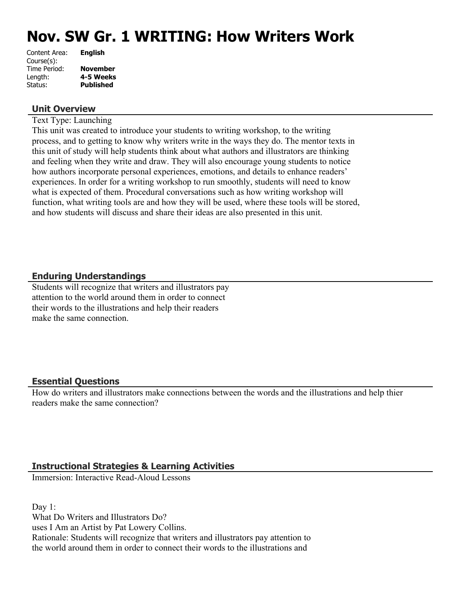# **Nov. SW Gr. 1 WRITING: How Writers Work**

| <b>November</b>  |
|------------------|
| 4-5 Weeks        |
| <b>Published</b> |
|                  |

#### **Unit Overview**

Text Type: Launching

This unit was created to introduce your students to writing workshop, to the writing process, and to getting to know why writers write in the ways they do. The mentor texts in this unit of study will help students think about what authors and illustrators are thinking and feeling when they write and draw. They will also encourage young students to notice how authors incorporate personal experiences, emotions, and details to enhance readers' experiences. In order for a writing workshop to run smoothly, students will need to know what is expected of them. Procedural conversations such as how writing workshop will function, what writing tools are and how they will be used, where these tools will be stored, and how students will discuss and share their ideas are also presented in this unit.

#### **Enduring Understandings**

Students will recognize that writers and illustrators pay attention to the world around them in order to connect their words to the illustrations and help their readers make the same connection.

#### **Essential Questions**

How do writers and illustrators make connections between the words and the illustrations and help thier readers make the same connection?

#### **Instructional Strategies & Learning Activities**

Immersion: Interactive Read-Aloud Lessons

Day 1: What Do Writers and Illustrators Do? uses I Am an Artist by Pat Lowery Collins. Rationale: Students will recognize that writers and illustrators pay attention to the world around them in order to connect their words to the illustrations and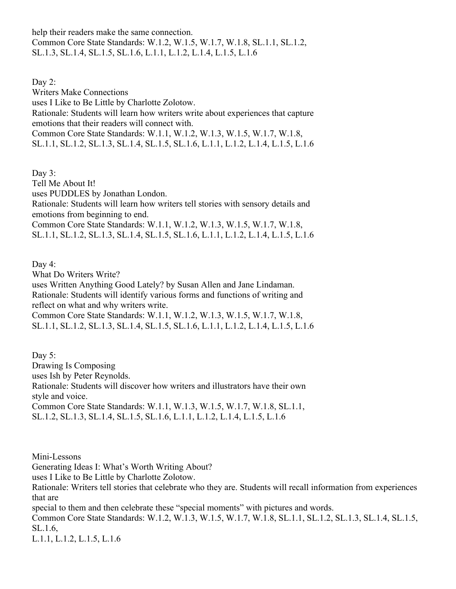help their readers make the same connection. Common Core State Standards: W.1.2, W.1.5, W.1.7, W.1.8, SL.1.1, SL.1.2, SL.1.3, SL.1.4, SL.1.5, SL.1.6, L.1.1, L.1.2, L.1.4, L.1.5, L.1.6

Day 2: Writers Make Connections uses I Like to Be Little by Charlotte Zolotow. Rationale: Students will learn how writers write about experiences that capture emotions that their readers will connect with. Common Core State Standards: W.1.1, W.1.2, W.1.3, W.1.5, W.1.7, W.1.8, SL.1.1, SL.1.2, SL.1.3, SL.1.4, SL.1.5, SL.1.6, L.1.1, L.1.2, L.1.4, L.1.5, L.1.6

Day 3: Tell Me About It! uses PUDDLES by Jonathan London. Rationale: Students will learn how writers tell stories with sensory details and emotions from beginning to end. Common Core State Standards: W.1.1, W.1.2, W.1.3, W.1.5, W.1.7, W.1.8, SL.1.1, SL.1.2, SL.1.3, SL.1.4, SL.1.5, SL.1.6, L.1.1, L.1.2, L.1.4, L.1.5, L.1.6

Day 4:

What Do Writers Write? uses Written Anything Good Lately? by Susan Allen and Jane Lindaman. Rationale: Students will identify various forms and functions of writing and reflect on what and why writers write. Common Core State Standards: W.1.1, W.1.2, W.1.3, W.1.5, W.1.7, W.1.8, SL.1.1, SL.1.2, SL.1.3, SL.1.4, SL.1.5, SL.1.6, L.1.1, L.1.2, L.1.4, L.1.5, L.1.6

Day 5: Drawing Is Composing uses Ish by Peter Reynolds. Rationale: Students will discover how writers and illustrators have their own style and voice. Common Core State Standards: W.1.1, W.1.3, W.1.5, W.1.7, W.1.8, SL.1.1, SL.1.2, SL.1.3, SL.1.4, SL.1.5, SL.1.6, L.1.1, L.1.2, L.1.4, L.1.5, L.1.6

Mini-Lessons

Generating Ideas I: What's Worth Writing About?

uses I Like to Be Little by Charlotte Zolotow.

Rationale: Writers tell stories that celebrate who they are. Students will recall information from experiences that are

special to them and then celebrate these "special moments" with pictures and words. Common Core State Standards: W.1.2, W.1.3, W.1.5, W.1.7, W.1.8, SL.1.1, SL.1.2, SL.1.3, SL.1.4, SL.1.5, SL.1.6, L.1.1, L.1.2, L.1.5, L.1.6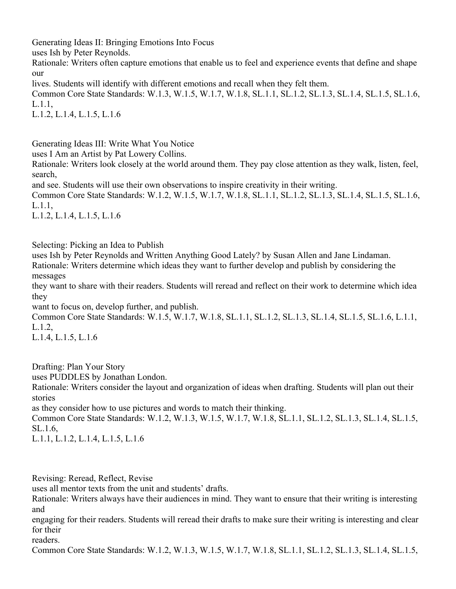Generating Ideas II: Bringing Emotions Into Focus

uses Ish by Peter Reynolds.

Rationale: Writers often capture emotions that enable us to feel and experience events that define and shape our

lives. Students will identify with different emotions and recall when they felt them.

Common Core State Standards: W.1.3, W.1.5, W.1.7, W.1.8, SL.1.1, SL.1.2, SL.1.3, SL.1.4, SL.1.5, SL.1.6, L.1.1,

L.1.2, L.1.4, L.1.5, L.1.6

Generating Ideas III: Write What You Notice

uses I Am an Artist by Pat Lowery Collins.

Rationale: Writers look closely at the world around them. They pay close attention as they walk, listen, feel, search,

and see. Students will use their own observations to inspire creativity in their writing.

Common Core State Standards: W.1.2, W.1.5, W.1.7, W.1.8, SL.1.1, SL.1.2, SL.1.3, SL.1.4, SL.1.5, SL.1.6, L.1.1,

L.1.2, L.1.4, L.1.5, L.1.6

Selecting: Picking an Idea to Publish

uses Ish by Peter Reynolds and Written Anything Good Lately? by Susan Allen and Jane Lindaman. Rationale: Writers determine which ideas they want to further develop and publish by considering the messages

they want to share with their readers. Students will reread and reflect on their work to determine which idea they

want to focus on, develop further, and publish.

Common Core State Standards: W.1.5, W.1.7, W.1.8, SL.1.1, SL.1.2, SL.1.3, SL.1.4, SL.1.5, SL.1.6, L.1.1, L.1.2,

L.1.4, L.1.5, L.1.6

Drafting: Plan Your Story uses PUDDLES by Jonathan London. Rationale: Writers consider the layout and organization of ideas when drafting. Students will plan out their stories as they consider how to use pictures and words to match their thinking. Common Core State Standards: W.1.2, W.1.3, W.1.5, W.1.7, W.1.8, SL.1.1, SL.1.2, SL.1.3, SL.1.4, SL.1.5,

SL.1.6,

L.1.1, L.1.2, L.1.4, L.1.5, L.1.6

Revising: Reread, Reflect, Revise

uses all mentor texts from the unit and students' drafts.

Rationale: Writers always have their audiences in mind. They want to ensure that their writing is interesting and

engaging for their readers. Students will reread their drafts to make sure their writing is interesting and clear for their

readers.

Common Core State Standards: W.1.2, W.1.3, W.1.5, W.1.7, W.1.8, SL.1.1, SL.1.2, SL.1.3, SL.1.4, SL.1.5,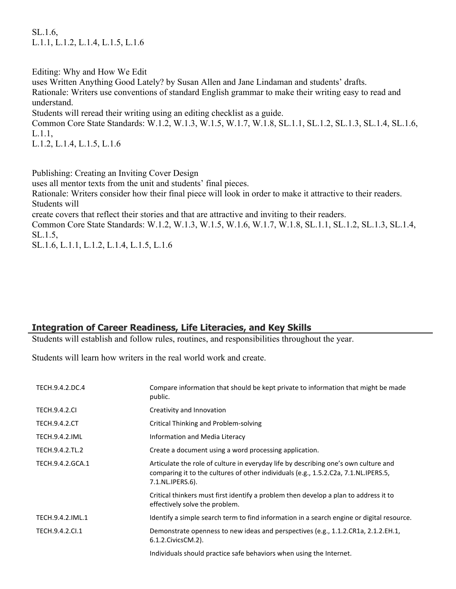SL.1.6, L.1.1, L.1.2, L.1.4, L.1.5, L.1.6

Editing: Why and How We Edit

uses Written Anything Good Lately? by Susan Allen and Jane Lindaman and students' drafts.

Rationale: Writers use conventions of standard English grammar to make their writing easy to read and understand.

Students will reread their writing using an editing checklist as a guide.

Common Core State Standards: W.1.2, W.1.3, W.1.5, W.1.7, W.1.8, SL.1.1, SL.1.2, SL.1.3, SL.1.4, SL.1.6, L.1.1,

L.1.2, L.1.4, L.1.5, L.1.6

Publishing: Creating an Inviting Cover Design

uses all mentor texts from the unit and students' final pieces.

Rationale: Writers consider how their final piece will look in order to make it attractive to their readers. Students will

create covers that reflect their stories and that are attractive and inviting to their readers.

Common Core State Standards: W.1.2, W.1.3, W.1.5, W.1.6, W.1.7, W.1.8, SL.1.1, SL.1.2, SL.1.3, SL.1.4, SL.1.5,

SL.1.6, L.1.1, L.1.2, L.1.4, L.1.5, L.1.6

# **Integration of Career Readiness, Life Literacies, and Key Skills**

Students will establish and follow rules, routines, and responsibilities throughout the year.

Students will learn how writers in the real world work and create.

| TECH.9.4.2.DC.4       | Compare information that should be kept private to information that might be made<br>public.                                                                                                   |
|-----------------------|------------------------------------------------------------------------------------------------------------------------------------------------------------------------------------------------|
| <b>TECH.9.4.2.CI</b>  | Creativity and Innovation                                                                                                                                                                      |
| <b>TECH.9.4.2.CT</b>  | Critical Thinking and Problem-solving                                                                                                                                                          |
| <b>TECH.9.4.2.IML</b> | Information and Media Literacy                                                                                                                                                                 |
| TECH.9.4.2.TL.2       | Create a document using a word processing application.                                                                                                                                         |
| TECH.9.4.2.GCA.1      | Articulate the role of culture in everyday life by describing one's own culture and<br>comparing it to the cultures of other individuals (e.g., 1.5.2.C2a, 7.1.NL.IPERS.5,<br>7.1.NL.IPERS.6). |
|                       | Critical thinkers must first identify a problem then develop a plan to address it to<br>effectively solve the problem.                                                                         |
| TECH.9.4.2.IML.1      | Identify a simple search term to find information in a search engine or digital resource.                                                                                                      |
| TECH.9.4.2.Cl.1       | Demonstrate openness to new ideas and perspectives (e.g., 1.1.2.CR1a, 2.1.2.EH.1,<br>6.1.2. Civics CM. 2).                                                                                     |
|                       | Individuals should practice safe behaviors when using the Internet.                                                                                                                            |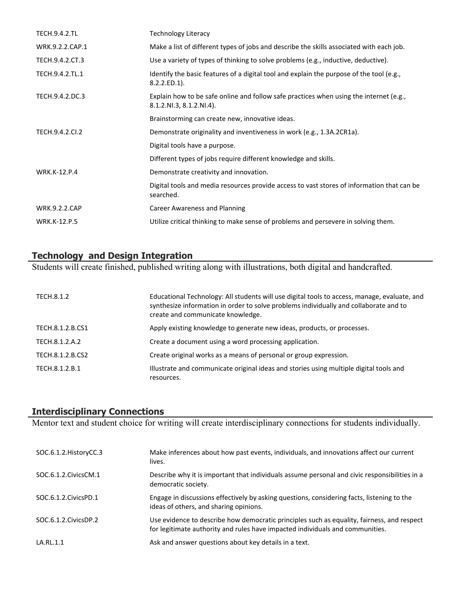| <b>TECH.9.4.2.TL</b> | <b>Technology Literacy</b>                                                                                         |
|----------------------|--------------------------------------------------------------------------------------------------------------------|
| WRK.9.2.2.CAP.1      | Make a list of different types of jobs and describe the skills associated with each job.                           |
| TECH.9.4.2.CT.3      | Use a variety of types of thinking to solve problems (e.g., inductive, deductive).                                 |
| TECH.9.4.2.TL.1      | Identify the basic features of a digital tool and explain the purpose of the tool (e.g.,<br>$8.2.2.ED.1$ ).        |
| TECH.9.4.2.DC.3      | Explain how to be safe online and follow safe practices when using the internet (e.g.,<br>8.1.2.NI.3, 8.1.2.NI.4). |
|                      | Brainstorming can create new, innovative ideas.                                                                    |
| TECH.9.4.2.CI.2      | Demonstrate originality and inventiveness in work (e.g., 1.3A.2CR1a).                                              |
|                      | Digital tools have a purpose.                                                                                      |
|                      | Different types of jobs require different knowledge and skills.                                                    |
| <b>WRK.K-12.P.4</b>  | Demonstrate creativity and innovation.                                                                             |
|                      | Digital tools and media resources provide access to vast stores of information that can be<br>searched.            |
| <b>WRK.9.2.2.CAP</b> | <b>Career Awareness and Planning</b>                                                                               |
| <b>WRK.K-12.P.5</b>  | Utilize critical thinking to make sense of problems and persevere in solving them.                                 |

## **Technology and Design Integration**

Students will create finished, published writing along with illustrations, both digital and handcrafted.

| TECH.8.1.2       | Educational Technology: All students will use digital tools to access, manage, evaluate, and<br>synthesize information in order to solve problems individually and collaborate and to<br>create and communicate knowledge. |
|------------------|----------------------------------------------------------------------------------------------------------------------------------------------------------------------------------------------------------------------------|
| TECH.8.1.2.B.CS1 | Apply existing knowledge to generate new ideas, products, or processes.                                                                                                                                                    |
| TECH.8.1.2.A.2   | Create a document using a word processing application.                                                                                                                                                                     |
| TECH.8.1.2.B.CS2 | Create original works as a means of personal or group expression.                                                                                                                                                          |
| TECH.8.1.2.B.1   | Illustrate and communicate original ideas and stories using multiple digital tools and<br>resources.                                                                                                                       |

#### **Interdisciplinary Connections**

Mentor text and student choice for writing will create interdisciplinary connections for students individually.

| SOC.6.1.2. HistoryCC.3 | Make inferences about how past events, individuals, and innovations affect our current<br>lives.                                                                            |
|------------------------|-----------------------------------------------------------------------------------------------------------------------------------------------------------------------------|
| SOC.6.1.2. Civics CM.1 | Describe why it is important that individuals assume personal and civic responsibilities in a<br>democratic society.                                                        |
| SOC.6.1.2. Civics PD.1 | Engage in discussions effectively by asking questions, considering facts, listening to the<br>ideas of others, and sharing opinions.                                        |
| SOC.6.1.2.CivicsDP.2   | Use evidence to describe how democratic principles such as equality, fairness, and respect<br>for legitimate authority and rules have impacted individuals and communities. |
| LA.RL.1.1              | Ask and answer questions about key details in a text.                                                                                                                       |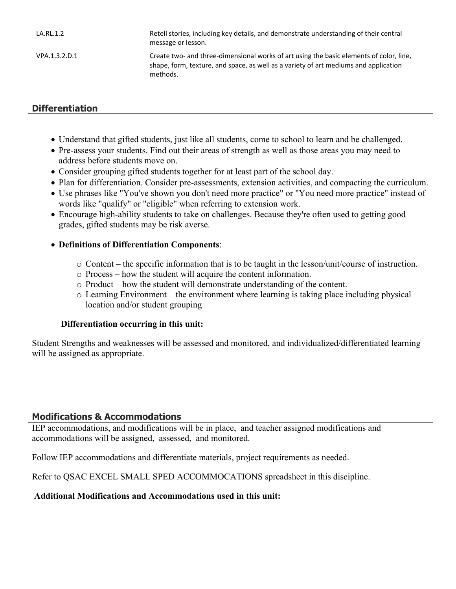| LA.RL.1.2     | Retell stories, including key details, and demonstrate understanding of their central<br>message or lesson.                                                                                 |
|---------------|---------------------------------------------------------------------------------------------------------------------------------------------------------------------------------------------|
| VPA.1.3.2.D.1 | Create two- and three-dimensional works of art using the basic elements of color, line,<br>shape, form, texture, and space, as well as a variety of art mediums and application<br>methods. |

# **Differentiation**

- Understand that gifted students, just like all students, come to school to learn and be challenged.
- Pre-assess your students. Find out their areas of strength as well as those areas you may need to address before students move on.
- Consider grouping gifted students together for at least part of the school day.
- Plan for differentiation. Consider pre-assessments, extension activities, and compacting the curriculum.
- Use phrases like "You've shown you don't need more practice" or "You need more practice" instead of words like "qualify" or "eligible" when referring to extension work.
- Encourage high-ability students to take on challenges. Because they're often used to getting good grades, gifted students may be risk averse.
- **Definitions of Differentiation Components**:
	- o Content the specific information that is to be taught in the lesson/unit/course of instruction.
	- o Process how the student will acquire the content information.
	- o Product how the student will demonstrate understanding of the content.
	- o Learning Environment the environment where learning is taking place including physical location and/or student grouping

#### **Differentiation occurring in this unit:**

Student Strengths and weaknesses will be assessed and monitored, and individualized/differentiated learning will be assigned as appropriate.

#### **Modifications & Accommodations**

IEP accommodations, and modifications will be in place, and teacher assigned modifications and accommodations will be assigned, assessed, and monitored.

Follow IEP accommodations and differentiate materials, project requirements as needed.

Refer to QSAC EXCEL SMALL SPED ACCOMMOCATIONS spreadsheet in this discipline.

#### **Additional Modifications and Accommodations used in this unit:**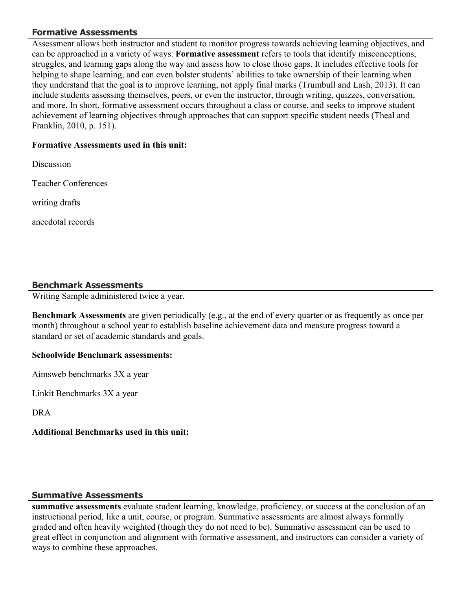# **Formative Assessments**

Assessment allows both instructor and student to monitor progress towards achieving learning objectives, and can be approached in a variety of ways. **Formative assessment** refers to tools that identify misconceptions, struggles, and learning gaps along the way and assess how to close those gaps. It includes effective tools for helping to shape learning, and can even bolster students' abilities to take ownership of their learning when they understand that the goal is to improve learning, not apply final marks (Trumbull and Lash, 2013). It can include students assessing themselves, peers, or even the instructor, through writing, quizzes, conversation, and more. In short, formative assessment occurs throughout a class or course, and seeks to improve student achievement of learning objectives through approaches that can support specific student needs (Theal and Franklin, 2010, p. 151).

## **Formative Assessments used in this unit:**

Discussion

Teacher Conferences

writing drafts

anecdotal records

## **Benchmark Assessments**

Writing Sample administered twice a year.

**Benchmark Assessments** are given periodically (e.g., at the end of every quarter or as frequently as once per month) throughout a school year to establish baseline achievement data and measure progress toward a standard or set of academic standards and goals.

#### **Schoolwide Benchmark assessments:**

Aimsweb benchmarks 3X a year

Linkit Benchmarks 3X a year

DRA

#### **Additional Benchmarks used in this unit:**

#### **Summative Assessments**

**summative assessments** evaluate student learning, knowledge, proficiency, or success at the conclusion of an instructional period, like a unit, course, or program. Summative assessments are almost always formally graded and often heavily weighted (though they do not need to be). Summative assessment can be used to great effect in conjunction and alignment with formative assessment, and instructors can consider a variety of ways to combine these approaches.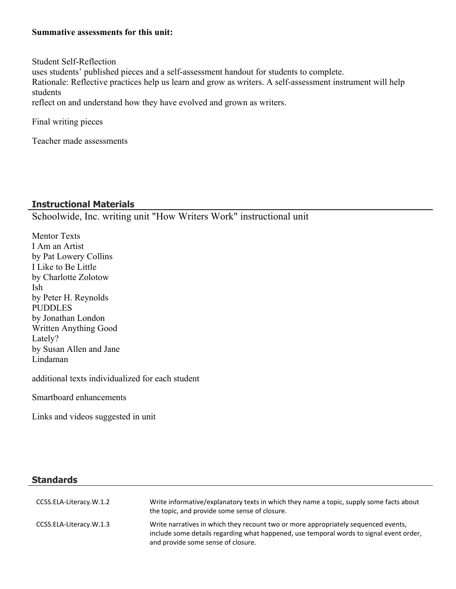#### **Summative assessments for this unit:**

Student Self-Reflection uses students' published pieces and a self-assessment handout for students to complete. Rationale: Reflective practices help us learn and grow as writers. A self-assessment instrument will help students reflect on and understand how they have evolved and grown as writers.

Final writing pieces

Teacher made assessments

#### **Instructional Materials**

Schoolwide, Inc. writing unit "How Writers Work" instructional unit

Mentor Texts I Am an Artist by Pat Lowery Collins I Like to Be Little by Charlotte Zolotow Ish by Peter H. Reynolds PUDDLES by Jonathan London Written Anything Good Lately? by Susan Allen and Jane Lindaman

additional texts individualized for each student

Smartboard enhancements

Links and videos suggested in unit

#### **Standards**

| CCSS.ELA-Literacy.W.1.2 | Write informative/explanatory texts in which they name a topic, supply some facts about<br>the topic, and provide some sense of closure.                                                                            |
|-------------------------|---------------------------------------------------------------------------------------------------------------------------------------------------------------------------------------------------------------------|
| CCSS.ELA-Literacy.W.1.3 | Write narratives in which they recount two or more appropriately sequenced events,<br>include some details regarding what happened, use temporal words to signal event order,<br>and provide some sense of closure. |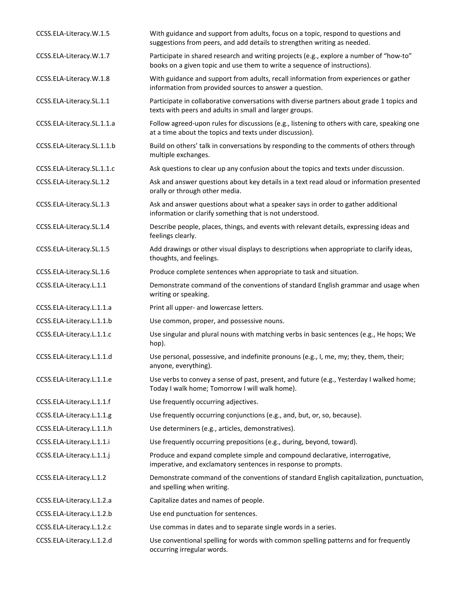| CCSS.ELA-Literacy.W.1.5    | With guidance and support from adults, focus on a topic, respond to questions and<br>suggestions from peers, and add details to strengthen writing as needed.        |
|----------------------------|----------------------------------------------------------------------------------------------------------------------------------------------------------------------|
| CCSS.ELA-Literacy.W.1.7    | Participate in shared research and writing projects (e.g., explore a number of "how-to"<br>books on a given topic and use them to write a sequence of instructions). |
| CCSS.ELA-Literacy.W.1.8    | With guidance and support from adults, recall information from experiences or gather<br>information from provided sources to answer a question.                      |
| CCSS.ELA-Literacy.SL.1.1   | Participate in collaborative conversations with diverse partners about grade 1 topics and<br>texts with peers and adults in small and larger groups.                 |
| CCSS.ELA-Literacy.SL.1.1.a | Follow agreed-upon rules for discussions (e.g., listening to others with care, speaking one<br>at a time about the topics and texts under discussion).               |
| CCSS.ELA-Literacy.SL.1.1.b | Build on others' talk in conversations by responding to the comments of others through<br>multiple exchanges.                                                        |
| CCSS.ELA-Literacy.SL.1.1.c | Ask questions to clear up any confusion about the topics and texts under discussion.                                                                                 |
| CCSS.ELA-Literacy.SL.1.2   | Ask and answer questions about key details in a text read aloud or information presented<br>orally or through other media.                                           |
| CCSS.ELA-Literacy.SL.1.3   | Ask and answer questions about what a speaker says in order to gather additional<br>information or clarify something that is not understood.                         |
| CCSS.ELA-Literacy.SL.1.4   | Describe people, places, things, and events with relevant details, expressing ideas and<br>feelings clearly.                                                         |
| CCSS.ELA-Literacy.SL.1.5   | Add drawings or other visual displays to descriptions when appropriate to clarify ideas,<br>thoughts, and feelings.                                                  |
| CCSS.ELA-Literacy.SL.1.6   | Produce complete sentences when appropriate to task and situation.                                                                                                   |
| CCSS.ELA-Literacy.L.1.1    | Demonstrate command of the conventions of standard English grammar and usage when<br>writing or speaking.                                                            |
| CCSS.ELA-Literacy.L.1.1.a  | Print all upper- and lowercase letters.                                                                                                                              |
| CCSS.ELA-Literacy.L.1.1.b  | Use common, proper, and possessive nouns.                                                                                                                            |
| CCSS.ELA-Literacy.L.1.1.c  | Use singular and plural nouns with matching verbs in basic sentences (e.g., He hops; We<br>hop).                                                                     |
| CCSS.ELA-Literacy.L.1.1.d  | Use personal, possessive, and indefinite pronouns (e.g., I, me, my; they, them, their;<br>anyone, everything).                                                       |
| CCSS.ELA-Literacy.L.1.1.e  | Use verbs to convey a sense of past, present, and future (e.g., Yesterday I walked home;<br>Today I walk home; Tomorrow I will walk home).                           |
| CCSS.ELA-Literacy.L.1.1.f  | Use frequently occurring adjectives.                                                                                                                                 |
| CCSS.ELA-Literacy.L.1.1.g  | Use frequently occurring conjunctions (e.g., and, but, or, so, because).                                                                                             |
| CCSS.ELA-Literacy.L.1.1.h  | Use determiners (e.g., articles, demonstratives).                                                                                                                    |
| CCSS.ELA-Literacy.L.1.1.i  | Use frequently occurring prepositions (e.g., during, beyond, toward).                                                                                                |
| CCSS.ELA-Literacy.L.1.1.j  | Produce and expand complete simple and compound declarative, interrogative,<br>imperative, and exclamatory sentences in response to prompts.                         |
| CCSS.ELA-Literacy.L.1.2    | Demonstrate command of the conventions of standard English capitalization, punctuation,<br>and spelling when writing.                                                |
| CCSS.ELA-Literacy.L.1.2.a  | Capitalize dates and names of people.                                                                                                                                |
| CCSS.ELA-Literacy.L.1.2.b  | Use end punctuation for sentences.                                                                                                                                   |
| CCSS.ELA-Literacy.L.1.2.c  | Use commas in dates and to separate single words in a series.                                                                                                        |
| CCSS.ELA-Literacy.L.1.2.d  | Use conventional spelling for words with common spelling patterns and for frequently<br>occurring irregular words.                                                   |